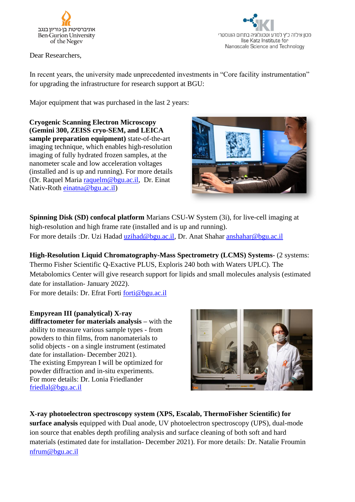

Dear Researchers,



In recent years, the university made unprecedented investments in "Core facility instrumentation" for upgrading the infrastructure for research support at BGU:

Major equipment that was purchased in the last 2 years:

**Cryogenic Scanning Electron Microscopy (Gemini 300, ZEISS cryo-SEM, and LEICA sample preparation equipment)** state-of-the-art imaging technique, which enables high-resolution imaging of fully hydrated frozen samples, at the nanometer scale and low acceleration voltages (installed and is up and running). For more details (Dr. Raquel Maria [raquelm@bgu.ac.il,](mailto:raquelm@bgu.ac.il) Dr. Einat Nativ-Roth [einatna@bgu.ac.il\)](mailto:einatna@bgu.ac.il)



**Spinning Disk (SD) confocal platform** Marians CSU-W System (3i), for live-cell imaging at high-resolution and high frame rate (installed and is up and running). For more details :Dr. Uzi Hadad uzihad@bgu.ac.il, Dr. Anat Shahar anshahar@bgu.ac.il

**High-Resolution Liquid Chromatography-Mass Spectrometry (LCMS) Systems**- (2 systems: Thermo Fisher Scientific Q-Exactive PLUS, Exploris 240 both with Waters UPLC). The Metabolomics Center will give research support for lipids and small molecules analysis (estimated date for installation- January 2022). For more details: Dr. Efrat Forti [forti@bgu.ac.il](mailto:forti@bgu.ac.il)

**Empyrean III (panalytical) X-ray diffractometer for materials analysis –** with the ability to measure various sample types - from powders to thin films, from nanomaterials to solid objects - on a single instrument (estimated date for installation- December 2021). The existing Empyrean I will be optimized for powder diffraction and in-situ experiments. For more details: Dr. Lonia Friedlander

[friedlal@bgu.ac.il](mailto:friedlal@bgu.ac.il)



**X-ray photoelectron spectroscopy system (XPS, Escalab, ThermoFisher Scientific) for surface analysis** equipped with Dual anode, UV photoelectron spectroscopy (UPS), dual-mode ion source that enables depth profiling analysis and surface cleaning of both soft and hard materials (estimated date for installation- December 2021). For more details: Dr. Natalie Froumin [nfrum@bgu.ac.il](mailto:nfrum@bgu.ac.il)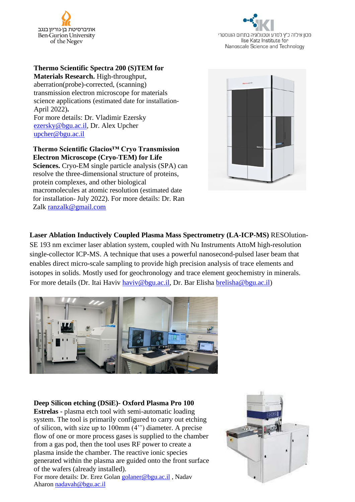



#### **Thermo Scientific Spectra 200 (S)TEM for Materials Research.** High-throughput,

aberration(probe)-corrected, (scanning) transmission electron microscope for materials science applications (estimated date for installation-April 2022)**.** For more details: Dr. Vladimir Ezersky [ezersky@bgu.ac.il,](mailto:ezersky@bgu.ac.il) Dr. Alex Upcher [upcher@bgu.ac.il](mailto:upcher@bgu.ac.il)

#### **Thermo Scientific Glacios™ Cryo Transmission Electron Microscope (Cryo-TEM) for Life**

**Sciences.** Cryo-EM single particle analysis (SPA) can resolve the three-dimensional structure of proteins, protein complexes, and other biological macromolecules at atomic resolution (estimated date for installation- July 2022). For more details: Dr. Ran Zalk [ranzalk@gmail.com](mailto:ranzalk@gmail.com)



**Laser Ablation Inductively Coupled Plasma Mass Spectrometry (LA-ICP-MS)** RESOlution-

SE 193 nm excimer laser ablation system, coupled with Nu Instruments AttoM high-resolution single-collector ICP-MS. A technique that uses a powerful nanosecond-pulsed laser beam that enables direct micro-scale sampling to provide high precision analysis of trace elements and isotopes in solids. Mostly used for geochronology and trace element geochemistry in minerals. For more details (Dr. Itai Haviv [haviv@bgu.ac.il,](mailto:haviv@bgu.ac.il) Dr. Bar Elisha [brelisha@bgu.ac.il\)](mailto:brelisha@bgu.ac.il)



#### **[Deep Silicon etching \(DSiE\)-](https://in.bgu.ac.il/en/nano-fab/_layouts/15/DocIdRedir.aspx?ID=5RW434VQ3H3S-918-311) Oxford Plasma Pro 100**

**[Estrelas](https://in.bgu.ac.il/en/nano-fab/_layouts/15/DocIdRedir.aspx?ID=5RW434VQ3H3S-918-311)** - plasma etch tool with semi-automatic loading system. The tool is primarily configured to carry out etching of silicon, with size up to 100mm (4'') diameter. A precise flow of one or more process gases is supplied to the chamber from a gas pod, then the tool uses RF power to create a plasma inside the chamber. The reactive ionic species generated within the plasma are guided onto the front surface of the wafers (already installed).

For more details: Dr. Erez Golan [golaner@bgu.ac.il](mailto:golaner@bgu.ac.il) , Nadav Aharon [nadavah@bgu.ac.il](mailto:nadavah@bgu.ac.il)

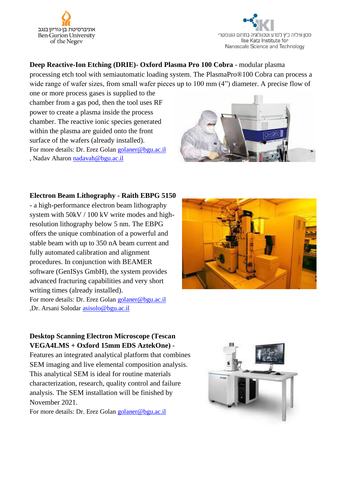



### **[Deep Reactive-Ion Etching \(DRIE\)-](https://in.bgu.ac.il/en/nano-fab/_layouts/15/DocIdRedir.aspx?ID=5RW434VQ3H3S-918-310) Oxford Plasma Pro 100 Cobra** - modular plasma

processing etch tool with semiautomatic loading system. The PlasmaPro®100 Cobra can process a wide range of wafer sizes, from small wafer pieces up to 100 mm (4") diameter. A precise flow of

one or more process gases is supplied to the chamber from a gas pod, then the tool uses RF power to create a plasma inside the process chamber. The reactive ionic species generated within the plasma are guided onto the front surface of the wafers (already installed). For more details: Dr. Erez Golan [golaner@bgu.ac.il](mailto:golaner@bgu.ac.il) , Nadav Aharon [nadavah@bgu.ac.il](mailto:nadavah@bgu.ac.il)



#### **Electron Beam Lithography - Raith EBPG 5150**

- a high-performance electron beam lithography system with 50kV / 100 kV write modes and highresolution lithography below 5 nm. The EBPG offers the unique combination of a powerful and stable beam with up to 350 nA beam current and fully automated calibration and alignment procedures. In conjunction with BEAMER software (GenISys GmbH), the system provides advanced fracturing capabilities and very short writing times (already installed). For more details: Dr. Erez Golan [golaner@bgu.ac.il](mailto:golaner@bgu.ac.il) ,Dr. Arsani Solodar [asisolo@bgu.ac.il](mailto:asisolo@bgu.ac.il)



## **Desktop Scanning Electron Microscope (Tescan VEGA4LMS + Oxford 15mm EDS AztekOne)** -

Features an integrated analytical platform that combines SEM imaging and live elemental composition analysis. This analytical SEM is ideal for routine materials characterization, research, quality control and failure analysis. The SEM installation will be finished by November 2021.

For more details: Dr. Erez Golan [golaner@bgu.ac.il](mailto:golaner@bgu.ac.il)